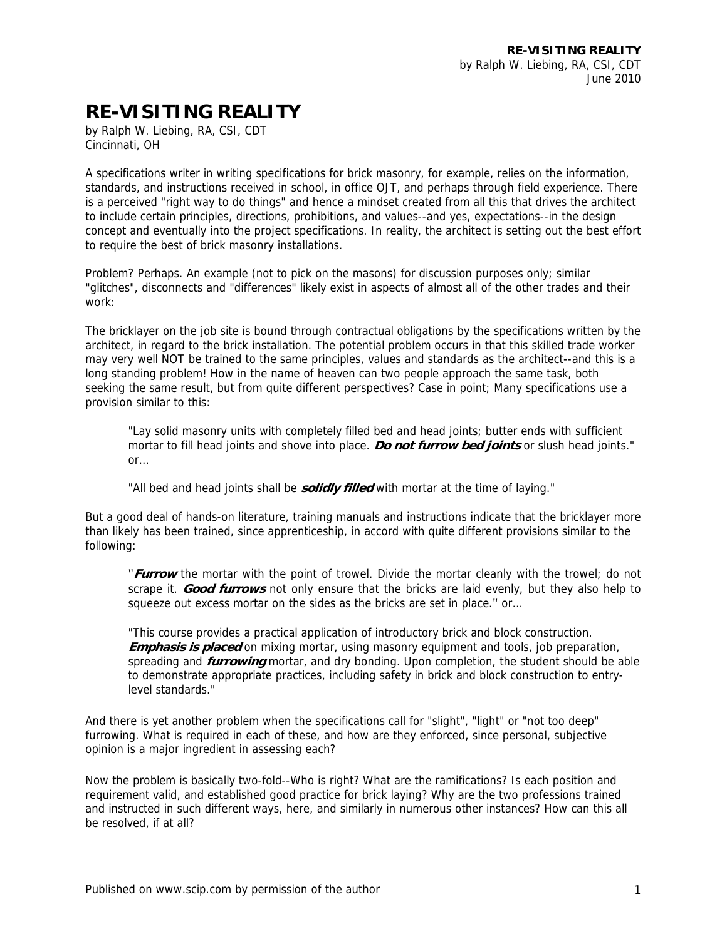## **RE-VISITING REALITY**

by Ralph W. Liebing, RA, CSI, CDT Cincinnati, OH

A specifications writer in writing specifications for brick masonry, for example, relies on the information, standards, and instructions received in school, in office OJT, and perhaps through field experience. There is a perceived "right way to do things" and hence a mindset created from all this that drives the architect to include certain principles, directions, prohibitions, and values--and yes, expectations--in the design concept and eventually into the project specifications. In reality, the architect is setting out the best effort to require the best of brick masonry installations.

Problem? Perhaps. An example (not to pick on the masons) for discussion purposes only; similar "glitches", disconnects and "differences" likely exist in aspects of almost all of the other trades and their work:

The bricklayer on the job site is bound through contractual obligations by the specifications written by the architect, in regard to the brick installation. The potential problem occurs in that this skilled trade worker may very well NOT be trained to the same principles, values and standards as the architect--and this is a long standing problem! How in the name of heaven can two people approach the same task, both seeking the same result, but from quite different perspectives? Case in point; Many specifications use a provision similar to this:

"Lay solid masonry units with completely filled bed and head joints; butter ends with sufficient mortar to fill head joints and shove into place. **Do not furrow bed joints** or slush head joints." or…

"All bed and head joints shall be **solidly filled** with mortar at the time of laying."

But a good deal of hands-on literature, training manuals and instructions indicate that the bricklayer more than likely has been trained, since apprenticeship, in accord with quite different provisions similar to the following:

"**Furrow** the mortar with the point of trowel. Divide the mortar cleanly with the trowel; do not scrape it. **Good furrows** not only ensure that the bricks are laid evenly, but they also help to squeeze out excess mortar on the sides as the bricks are set in place." or…

"This course provides a practical application of introductory brick and block construction. **Emphasis is placed** on mixing mortar, using masonry equipment and tools, job preparation, spreading and **furrowing** mortar, and dry bonding. Upon completion, the student should be able to demonstrate appropriate practices, including safety in brick and block construction to entrylevel standards."

And there is yet another problem when the specifications call for "slight", "light" or "not too deep" furrowing. What is required in each of these, and how are they enforced, since personal, subjective opinion is a major ingredient in assessing each?

Now the problem is basically two-fold--Who is right? What are the ramifications? Is each position and requirement valid, and established good practice for brick laying? Why are the two professions trained and instructed in such different ways, here, and similarly in numerous other instances? How can this all be resolved, if at all?